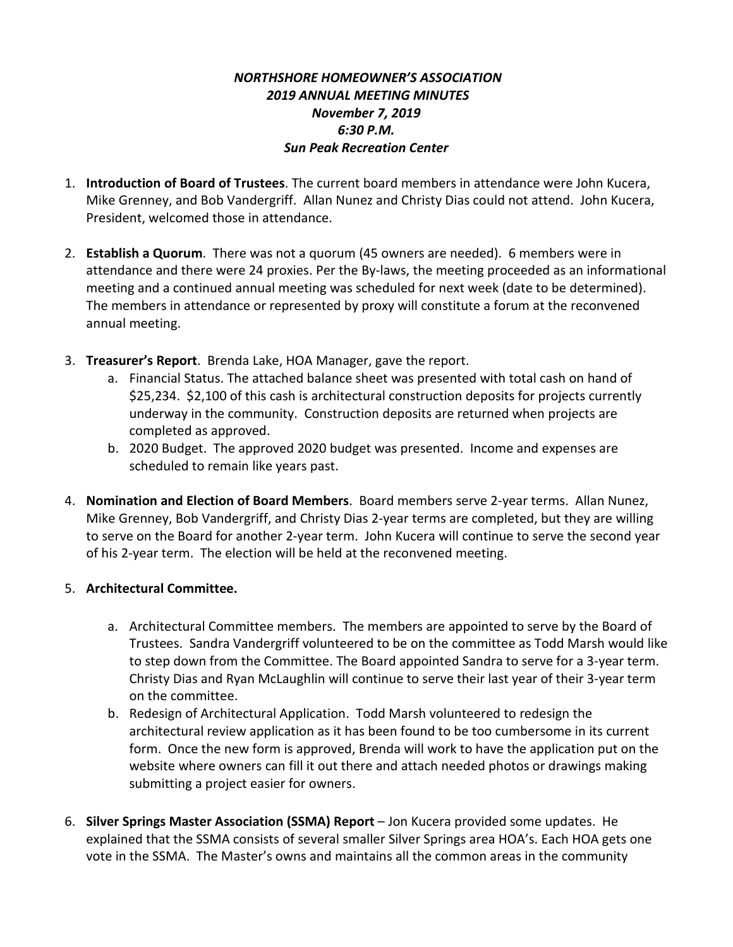## *NORTHSHORE HOMEOWNER'S ASSOCIATION 2019 ANNUAL MEETING MINUTES November 7, 2019 6:30 P.M. Sun Peak Recreation Center*

- 1. **Introduction of Board of Trustees**. The current board members in attendance were John Kucera, Mike Grenney, and Bob Vandergriff. Allan Nunez and Christy Dias could not attend. John Kucera, President, welcomed those in attendance.
- 2. **Establish a Quorum**. There was not a quorum (45 owners are needed). 6 members were in attendance and there were 24 proxies. Per the By-laws, the meeting proceeded as an informational meeting and a continued annual meeting was scheduled for next week (date to be determined). The members in attendance or represented by proxy will constitute a forum at the reconvened annual meeting.
- 3. **Treasurer's Report**. Brenda Lake, HOA Manager, gave the report.
	- a. Financial Status. The attached balance sheet was presented with total cash on hand of \$25,234. \$2,100 of this cash is architectural construction deposits for projects currently underway in the community. Construction deposits are returned when projects are completed as approved.
	- b. 2020 Budget. The approved 2020 budget was presented. Income and expenses are scheduled to remain like years past.
- 4. **Nomination and Election of Board Members**. Board members serve 2-year terms. Allan Nunez, Mike Grenney, Bob Vandergriff, and Christy Dias 2-year terms are completed, but they are willing to serve on the Board for another 2-year term. John Kucera will continue to serve the second year of his 2-year term. The election will be held at the reconvened meeting.

## 5. **Architectural Committee.**

- a. Architectural Committee members. The members are appointed to serve by the Board of Trustees. Sandra Vandergriff volunteered to be on the committee as Todd Marsh would like to step down from the Committee. The Board appointed Sandra to serve for a 3-year term. Christy Dias and Ryan McLaughlin will continue to serve their last year of their 3-year term on the committee.
- b. Redesign of Architectural Application. Todd Marsh volunteered to redesign the architectural review application as it has been found to be too cumbersome in its current form. Once the new form is approved, Brenda will work to have the application put on the website where owners can fill it out there and attach needed photos or drawings making submitting a project easier for owners.
- 6. **Silver Springs Master Association (SSMA) Report** Jon Kucera provided some updates. He explained that the SSMA consists of several smaller Silver Springs area HOA's. Each HOA gets one vote in the SSMA. The Master's owns and maintains all the common areas in the community